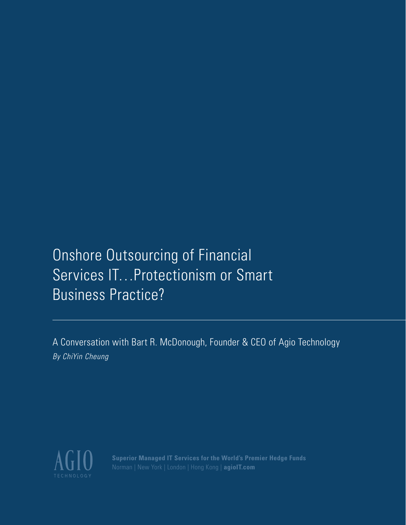# **Onshore Outsourcing of Financial** Services IT…Protectionism or Smart Business Practice?

A Conversation with Bart R. McDonough, Founder & CEO of Agio Technology *By ChiYin Cheung*



**Superior Managed IT Services for the World's Premier Hedge Funds** Norman | New York | London | Hong Kong | **agioIT.com**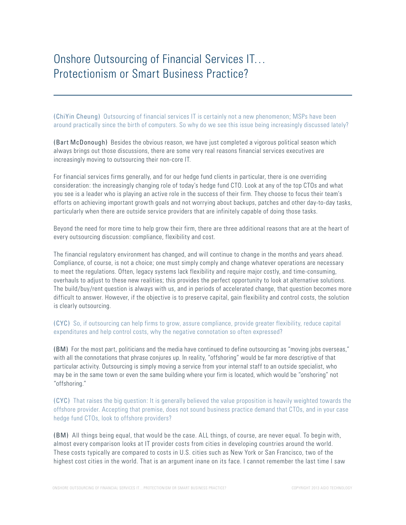# Onshore Outsourcing of Financial Services IT… Protectionism or Smart Business Practice?

(ChiYin Cheung) Outsourcing of financial services IT is certainly not a new phenomenon; MSPs have been around practically since the birth of computers. So why do we see this issue being increasingly discussed lately?

(Bart McDonough) Besides the obvious reason, we have just completed a vigorous political season which always brings out those discussions, there are some very real reasons financial services executives are increasingly moving to outsourcing their non-core IT.

For financial services firms generally, and for our hedge fund clients in particular, there is one overriding consideration: the increasingly changing role of today's hedge fund CTO. Look at any of the top CTOs and what you see is a leader who is playing an active role in the success of their firm. They choose to focus their team's efforts on achieving important growth goals and not worrying about backups, patches and other day-to-day tasks, particularly when there are outside service providers that are infinitely capable of doing those tasks.

Beyond the need for more time to help grow their firm, there are three additional reasons that are at the heart of every outsourcing discussion: compliance, flexibility and cost.

The financial regulatory environment has changed, and will continue to change in the months and years ahead. Compliance, of course, is not a choice; one must simply comply and change whatever operations are necessary to meet the regulations. Often, legacy systems lack flexibility and require major costly, and time-consuming, overhauls to adjust to these new realities; this provides the perfect opportunity to look at alternative solutions. The build/buy/rent question is always with us, and in periods of accelerated change, that question becomes more difficult to answer. However, if the objective is to preserve capital, gain flexibility and control costs, the solution is clearly outsourcing.

# (CYC) So, if outsourcing can help firms to grow, assure compliance, provide greater flexibility, reduce capital expenditures and help control costs, why the negative connotation so often expressed?

(BM) For the most part, politicians and the media have continued to define outsourcing as "moving jobs overseas," with all the connotations that phrase conjures up. In reality, "offshoring" would be far more descriptive of that particular activity. Outsourcing is simply moving a service from your internal staff to an outside specialist, who may be in the same town or even the same building where your firm is located, which would be "onshoring" not "offshoring."

(CYC) That raises the big question: It is generally believed the value proposition is heavily weighted towards the offshore provider. Accepting that premise, does not sound business practice demand that CTOs, and in your case hedge fund CTOs, look to offshore providers?

(BM) All things being equal, that would be the case. ALL things, of course, are never equal. To begin with, almost every comparison looks at IT provider costs from cities in developing countries around the world. These costs typically are compared to costs in U.S. cities such as New York or San Francisco, two of the highest cost cities in the world. That is an argument inane on its face. I cannot remember the last time I saw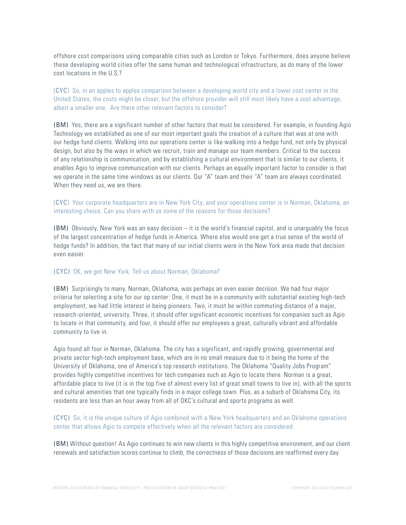offshore cost comparisons using comparable cities such as London or Tokyo. Furthermore, does anyone believe these developing world cities offer the same human and technological infrastructure, as do many of the lower cost locations in the U.S.?

(CYC) So, in an apples to apples comparison between a developing world city and a lower cost center in the United States, the costs might be closer, but the offshore provider will still most likely have a cost advantage, albeit a smaller one. Are there other relevant factors to consider?

(BM) Yes, there are a significant number of other factors that must be considered. For example, in founding Agio Technology we established as one of our most important goals the creation of a culture that was at one with our hedge fund clients. Walking into our operations center is like walking into a hedge fund, not only by physical design, but also by the ways in which we recruit, train and manage our team members. Critical to the success of any relationship is communication, and by establishing a cultural environment that is similar to our clients, it enables Agio to improve communication with our clients. Perhaps an equally important factor to consider is that we operate in the same time windows as our clients. Our "A" team and their "A" team are always coordinated. When they need us, we are there.

# (CYC) Your corporate headquarters are in New York City, and your operations center is in Norman, Oklahoma, an interesting choice. Can you share with us some of the reasons for those decisions?

(BM) Obviously, New York was an easy decision – it is the world's financial capitol, and is unarguably the focus of the largest concentration of hedge funds in America. Where else would one get a true sense of the world of hedge funds? In addition, the fact that many of our initial clients were in the New York area made that decision even easier.

#### (CYC) OK, we get New York. Tell us about Norman, Oklahoma?

(BM) Surprisingly to many, Norman, Oklahoma, was perhaps an even easier decision. We had four major criteria for selecting a site for our op center: One, it must be in a community with substantial existing high-tech employment, we had little interest in being pioneers. Two, it must be within commuting distance of a major, research-oriented, university. Three, it should offer significant economic incentives for companies such as Agio to locate in that community, and four, it should offer our employees a great, culturally vibrant and affordable community to live in.

Agio found all four in Norman, Oklahoma. The city has a significant, and rapidly growing, governmental and private sector high-tech employment base, which are in no small measure due to it being the home of the University of Oklahoma, one of America's top research institutions. The Oklahoma "Quality Jobs Program" provides highly competitive incentives for tech companies such as Agio to locate there. Norman is a great, affordable place to live (it is in the top five of almost every list of great small towns to live in), with all the sports and cultural amenities that one typically finds in a major college town. Plus, as a suburb of Oklahoma City, its residents are less than an hour away from all of OKC's cultural and sports programs as well.

(CYC) So, it is the unique culture of Agio combined with a New York headquarters and an Oklahoma operations center that allows Agio to compete effectively when all the relevant factors are considered.

(BM) Without question! As Agio continues to win new clients in this highly competitive environment, and our client renewals and satisfaction scores continue to climb, the correctness of those decisions are reaffirmed every day.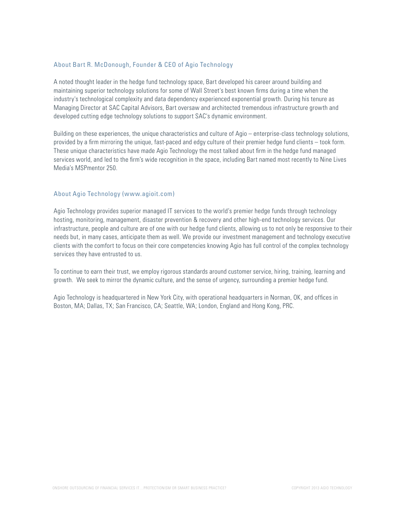### About Bart R. McDonough, Founder & CEO of Agio Technology

A noted thought leader in the hedge fund technology space, Bart developed his career around building and maintaining superior technology solutions for some of Wall Street's best known firms during a time when the industry's technological complexity and data dependency experienced exponential growth. During his tenure as Managing Director at SAC Capital Advisors, Bart oversaw and architected tremendous infrastructure growth and developed cutting edge technology solutions to support SAC's dynamic environment.

Building on these experiences, the unique characteristics and culture of Agio – enterprise-class technology solutions, provided by a firm mirroring the unique, fast-paced and edgy culture of their premier hedge fund clients – took form. These unique characteristics have made Agio Technology the most talked about firm in the hedge fund managed services world, and led to the firm's wide recognition in the space, including Bart named most recently to Nine Lives Media's MSPmentor 250.

#### About Agio Technology (www.agioit.com)

Agio Technology provides superior managed IT services to the world's premier hedge funds through technology hosting, monitoring, management, disaster prevention & recovery and other high-end technology services. Our infrastructure, people and culture are of one with our hedge fund clients, allowing us to not only be responsive to their needs but, in many cases, anticipate them as well. We provide our investment management and technology executive clients with the comfort to focus on their core competencies knowing Agio has full control of the complex technology services they have entrusted to us.

To continue to earn their trust, we employ rigorous standards around customer service, hiring, training, learning and growth. We seek to mirror the dynamic culture, and the sense of urgency, surrounding a premier hedge fund.

Agio Technology is headquartered in New York City, with operational headquarters in Norman, OK, and offices in Boston, MA; Dallas, TX; San Francisco, CA; Seattle, WA; London, England and Hong Kong, PRC.